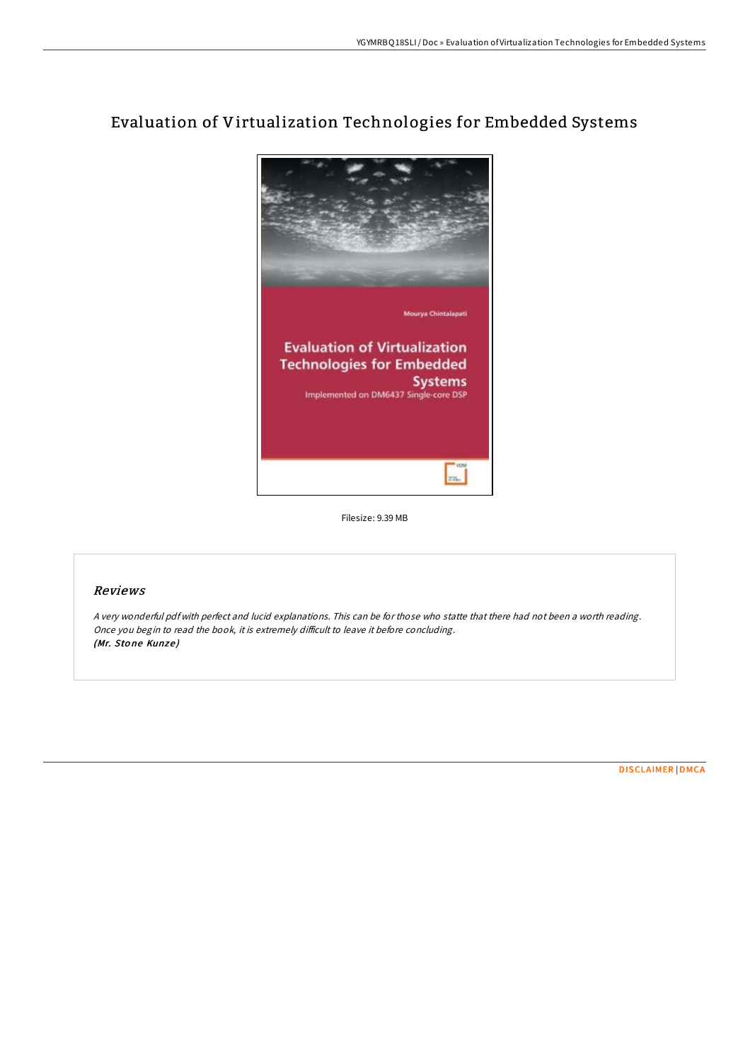

# Evaluation of Virtualization Technologies for Embedded Systems

Filesize: 9.39 MB

# Reviews

<sup>A</sup> very wonderful pdf with perfect and lucid explanations. This can be for those who statte that there had not been <sup>a</sup> worth reading. Once you begin to read the book, it is extremely difficult to leave it before concluding. (Mr. Stone Kunze)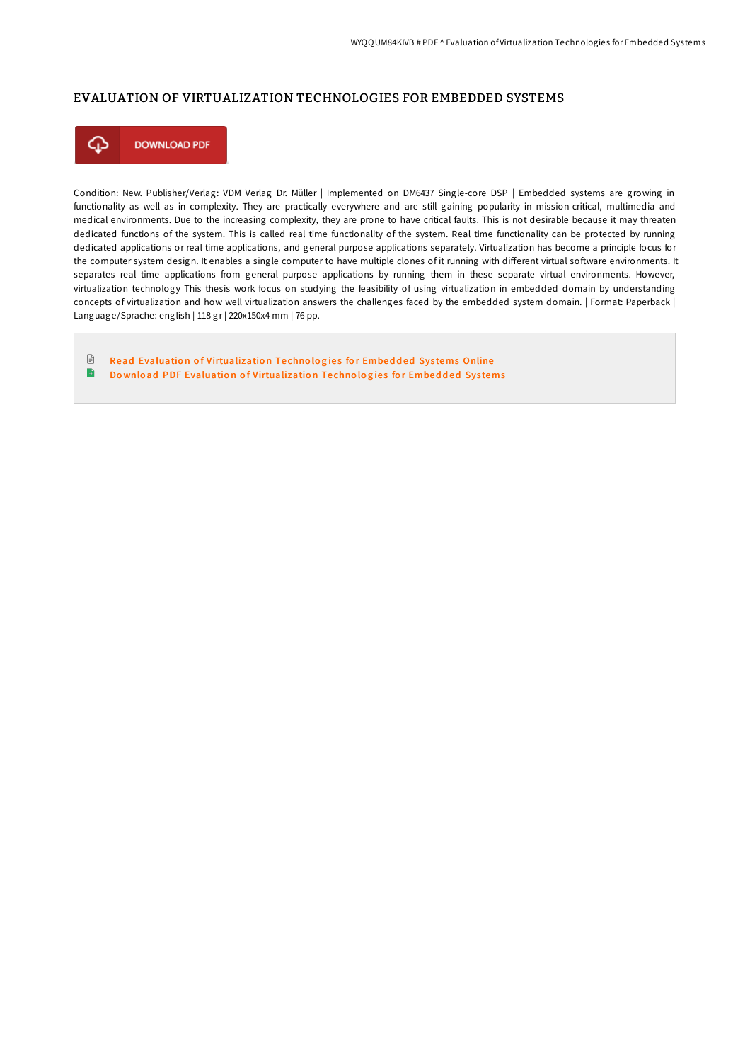## EVALUATION OF VIRTUALIZATION TECHNOLOGIES FOR EMBEDDED SYSTEMS



Condition: New. Publisher/Verlag: VDM Verlag Dr. Müller | Implemented on DM6437 Single-core DSP | Embedded systems are growing in functionality as well as in complexity. They are practically everywhere and are still gaining popularity in mission-critical, multimedia and medical environments. Due to the increasing complexity, they are prone to have critical faults. This is not desirable because it may threaten dedicated functions of the system. This is called real time functionality of the system. Real time functionality can be protected by running dedicated applications or real time applications, and general purpose applications separately. Virtualization has become a principle focus for the computer system design. It enables a single computer to have multiple clones of it running with different virtual software environments. It separates real time applications from general purpose applications by running them in these separate virtual environments. However, virtualization technology This thesis work focus on studying the feasibility of using virtualization in embedded domain by understanding concepts of virtualization and how well virtualization answers the challenges faced by the embedded system domain. | Format: Paperback | Language/Sprache: english | 118 gr | 220x150x4 mm | 76 pp.

 $\ensuremath{\mathop\square}\xspace$ Read Evaluation of [Virtualizatio](http://almighty24.tech/evaluation-of-virtualization-technologies-for-em.html)n Technologies for Embedded Systems Online  $\rightarrow$ Download PDF Evaluation of [Virtualizatio](http://almighty24.tech/evaluation-of-virtualization-technologies-for-em.html)n Technologies for Embedded Systems